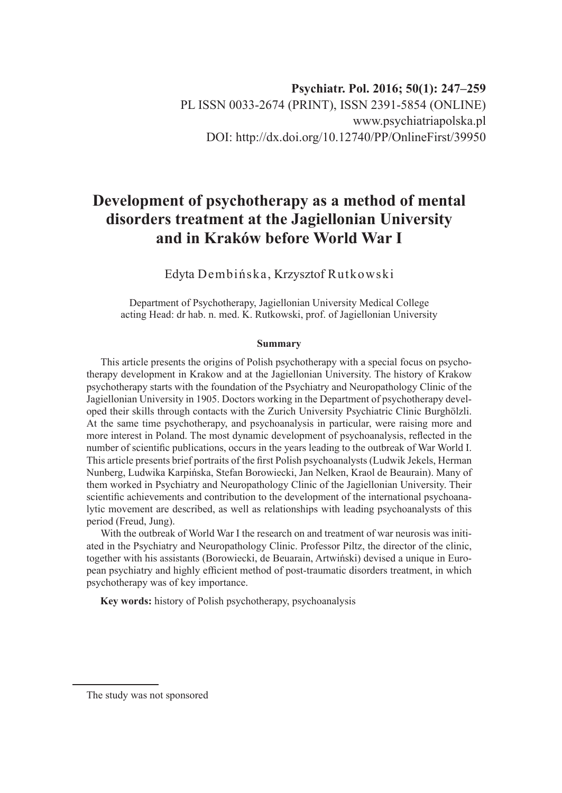## **Development of psychotherapy as a method of mental disorders treatment at the Jagiellonian University and in Kraków before World War I**

Edyta Dembińska, Krzysztof Rutkowski

Department of Psychotherapy, Jagiellonian University Medical College acting Head: dr hab. n. med. K. Rutkowski, prof. of Jagiellonian University

## **Summary**

This article presents the origins of Polish psychotherapy with a special focus on psychotherapy development in Krakow and at the Jagiellonian University. The history of Krakow psychotherapy starts with the foundation of the Psychiatry and Neuropathology Clinic of the Jagiellonian University in 1905. Doctors working in the Department of psychotherapy developed their skills through contacts with the Zurich University Psychiatric Clinic Burghölzli. At the same time psychotherapy, and psychoanalysis in particular, were raising more and more interest in Poland. The most dynamic development of psychoanalysis, reflected in the number of scientific publications, occurs in the years leading to the outbreak of War World I. This article presents brief portraits of the first Polish psychoanalysts (Ludwik Jekels, Herman Nunberg, Ludwika Karpińska, Stefan Borowiecki, Jan Nelken, Kraol de Beaurain). Many of them worked in Psychiatry and Neuropathology Clinic of the Jagiellonian University. Their scientific achievements and contribution to the development of the international psychoanalytic movement are described, as well as relationships with leading psychoanalysts of this period (Freud, Jung).

With the outbreak of World War I the research on and treatment of war neurosis was initiated in the Psychiatry and Neuropathology Clinic. Professor Piltz, the director of the clinic, together with his assistants (Borowiecki, de Beuarain, Artwiński) devised a unique in European psychiatry and highly efficient method of post-traumatic disorders treatment, in which psychotherapy was of key importance.

**Key words:** history of Polish psychotherapy, psychoanalysis

The study was not sponsored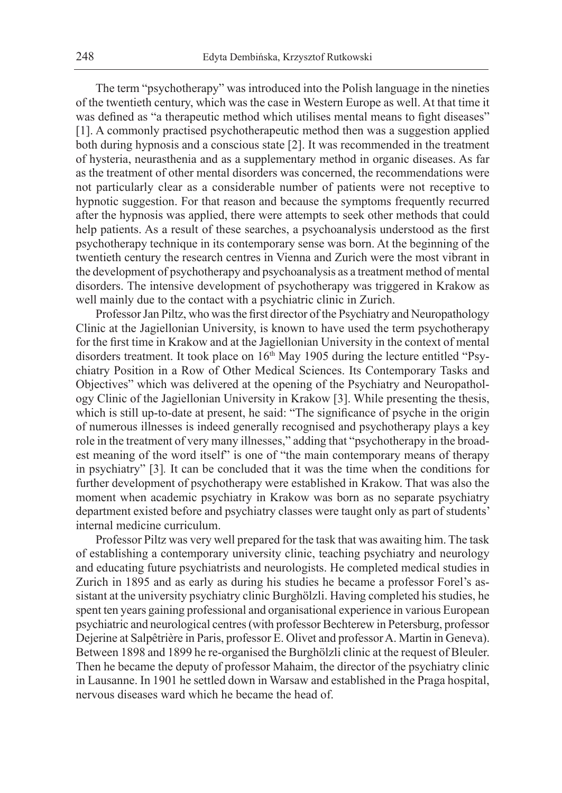The term "psychotherapy" was introduced into the Polish language in the nineties of the twentieth century, which was the case in Western Europe as well. At that time it was defined as "a therapeutic method which utilises mental means to fight diseases" [1]. A commonly practised psychotherapeutic method then was a suggestion applied both during hypnosis and a conscious state [2]. It was recommended in the treatment of hysteria, neurasthenia and as a supplementary method in organic diseases. As far as the treatment of other mental disorders was concerned, the recommendations were not particularly clear as a considerable number of patients were not receptive to hypnotic suggestion. For that reason and because the symptoms frequently recurred after the hypnosis was applied, there were attempts to seek other methods that could help patients. As a result of these searches, a psychoanalysis understood as the first psychotherapy technique in its contemporary sense was born. At the beginning of the twentieth century the research centres in Vienna and Zurich were the most vibrant in the development of psychotherapy and psychoanalysis as a treatment method of mental disorders. The intensive development of psychotherapy was triggered in Krakow as well mainly due to the contact with a psychiatric clinic in Zurich.

Professor Jan Piltz, who was the first director of the Psychiatry and Neuropathology Clinic at the Jagiellonian University, is known to have used the term psychotherapy for the first time in Krakow and at the Jagiellonian University in the context of mental disorders treatment. It took place on 16<sup>th</sup> May 1905 during the lecture entitled "Psychiatry Position in a Row of Other Medical Sciences. Its Contemporary Tasks and Objectives" which was delivered at the opening of the Psychiatry and Neuropathology Clinic of the Jagiellonian University in Krakow [3]. While presenting the thesis, which is still up-to-date at present, he said: "The significance of psyche in the origin of numerous illnesses is indeed generally recognised and psychotherapy plays a key role in the treatment of very many illnesses," adding that "psychotherapy in the broadest meaning of the word itself" is one of "the main contemporary means of therapy in psychiatry" [3]*.* It can be concluded that it was the time when the conditions for further development of psychotherapy were established in Krakow. That was also the moment when academic psychiatry in Krakow was born as no separate psychiatry department existed before and psychiatry classes were taught only as part of students' internal medicine curriculum.

Professor Piltz was very well prepared for the task that was awaiting him. The task of establishing a contemporary university clinic, teaching psychiatry and neurology and educating future psychiatrists and neurologists. He completed medical studies in Zurich in 1895 and as early as during his studies he became a professor Forel's assistant at the university psychiatry clinic Burghölzli. Having completed his studies, he spent ten years gaining professional and organisational experience in various European psychiatric and neurological centres (with professor Bechterew in Petersburg, professor Dejerine at Salpêtrière in Paris, professor E. Olivet and professor A. Martin in Geneva). Between 1898 and 1899 he re-organised the Burghölzli clinic at the request of Bleuler. Then he became the deputy of professor Mahaim, the director of the psychiatry clinic in Lausanne. In 1901 he settled down in Warsaw and established in the Praga hospital, nervous diseases ward which he became the head of.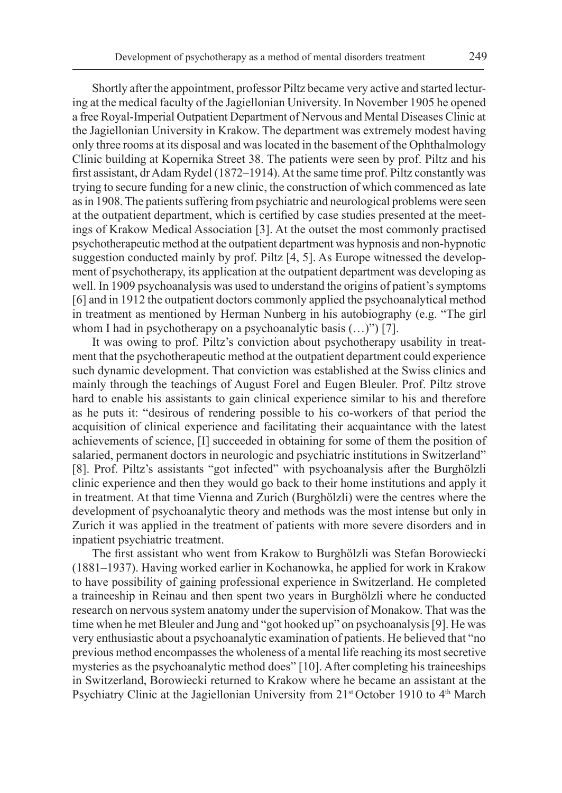Shortly after the appointment, professor Piltz became very active and started lecturing at the medical faculty of the Jagiellonian University. In November 1905 he opened a free Royal-Imperial Outpatient Department of Nervous and Mental Diseases Clinic at the Jagiellonian University in Krakow. The department was extremely modest having only three rooms at its disposal and was located in the basement of the Ophthalmology Clinic building at Kopernika Street 38. The patients were seen by prof. Piltz and his first assistant, dr Adam Rydel (1872–1914). At the same time prof. Piltz constantly was trying to secure funding for a new clinic, the construction of which commenced as late as in 1908. The patients suffering from psychiatric and neurological problems were seen at the outpatient department, which is certified by case studies presented at the meetings of Krakow Medical Association [3]. At the outset the most commonly practised psychotherapeutic method at the outpatient department was hypnosis and non-hypnotic suggestion conducted mainly by prof. Piltz [4, 5]. As Europe witnessed the development of psychotherapy, its application at the outpatient department was developing as well. In 1909 psychoanalysis was used to understand the origins of patient's symptoms [6] and in 1912 the outpatient doctors commonly applied the psychoanalytical method in treatment as mentioned by Herman Nunberg in his autobiography (e.g. "The girl whom I had in psychotherapy on a psychoanalytic basis  $(...)$ ") [7].

It was owing to prof. Piltz's conviction about psychotherapy usability in treatment that the psychotherapeutic method at the outpatient department could experience such dynamic development. That conviction was established at the Swiss clinics and mainly through the teachings of August Forel and Eugen Bleuler. Prof. Piltz strove hard to enable his assistants to gain clinical experience similar to his and therefore as he puts it: "desirous of rendering possible to his co-workers of that period the acquisition of clinical experience and facilitating their acquaintance with the latest achievements of science, [I] succeeded in obtaining for some of them the position of salaried, permanent doctors in neurologic and psychiatric institutions in Switzerland" [8]. Prof. Piltz's assistants "got infected" with psychoanalysis after the Burghölzli clinic experience and then they would go back to their home institutions and apply it in treatment. At that time Vienna and Zurich (Burghölzli) were the centres where the development of psychoanalytic theory and methods was the most intense but only in Zurich it was applied in the treatment of patients with more severe disorders and in inpatient psychiatric treatment.

The first assistant who went from Krakow to Burghölzli was Stefan Borowiecki (1881–1937). Having worked earlier in Kochanowka, he applied for work in Krakow to have possibility of gaining professional experience in Switzerland. He completed a traineeship in Reinau and then spent two years in Burghölzli where he conducted research on nervous system anatomy under the supervision of Monakow. That was the time when he met Bleuler and Jung and "got hooked up" on psychoanalysis [9]. He was very enthusiastic about a psychoanalytic examination of patients. He believed that "no previous method encompasses the wholeness of a mental life reaching its most secretive mysteries as the psychoanalytic method does" [10]. After completing his traineeships in Switzerland, Borowiecki returned to Krakow where he became an assistant at the Psychiatry Clinic at the Jagiellonian University from 21<sup>st</sup> October 1910 to 4<sup>th</sup> March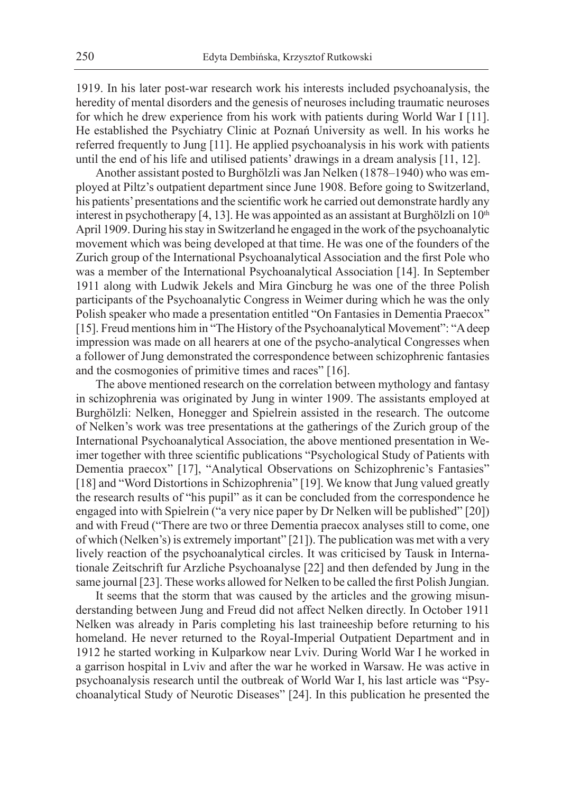1919. In his later post-war research work his interests included psychoanalysis, the heredity of mental disorders and the genesis of neuroses including traumatic neuroses for which he drew experience from his work with patients during World War I [11]. He established the Psychiatry Clinic at Poznań University as well. In his works he referred frequently to Jung [11]. He applied psychoanalysis in his work with patients until the end of his life and utilised patients' drawings in a dream analysis [11, 12].

Another assistant posted to Burghölzli was Jan Nelken (1878–1940) who was employed at Piltz's outpatient department since June 1908. Before going to Switzerland, his patients' presentations and the scientific work he carried out demonstrate hardly any interest in psychotherapy [4, 13]. He was appointed as an assistant at Burghölzli on  $10<sup>th</sup>$ April 1909. During his stay in Switzerland he engaged in the work of the psychoanalytic movement which was being developed at that time. He was one of the founders of the Zurich group of the International Psychoanalytical Association and the first Pole who was a member of the International Psychoanalytical Association [14]. In September 1911 along with Ludwik Jekels and Mira Gincburg he was one of the three Polish participants of the Psychoanalytic Congress in Weimer during which he was the only Polish speaker who made a presentation entitled "On Fantasies in Dementia Praecox" [15]. Freud mentions him in "The History of the Psychoanalytical Movement": "A deep impression was made on all hearers at one of the psycho-analytical Congresses when a follower of Jung demonstrated the correspondence between schizophrenic fantasies and the cosmogonies of primitive times and races" [16].

The above mentioned research on the correlation between mythology and fantasy in schizophrenia was originated by Jung in winter 1909. The assistants employed at Burghölzli: Nelken, Honegger and Spielrein assisted in the research. The outcome of Nelken's work was tree presentations at the gatherings of the Zurich group of the International Psychoanalytical Association, the above mentioned presentation in Weimer together with three scientific publications "Psychological Study of Patients with Dementia praecox" [17], "Analytical Observations on Schizophrenic's Fantasies" [18] and "Word Distortions in Schizophrenia" [19]. We know that Jung valued greatly the research results of "his pupil" as it can be concluded from the correspondence he engaged into with Spielrein ("a very nice paper by Dr Nelken will be published" [20]) and with Freud ("There are two or three Dementia praecox analyses still to come, one of which (Nelken's) is extremely important" [21]). The publication was met with a very lively reaction of the psychoanalytical circles. It was criticised by Tausk in Internationale Zeitschrift fur Arzliche Psychoanalyse [22] and then defended by Jung in the same journal [23]. These works allowed for Nelken to be called the first Polish Jungian.

It seems that the storm that was caused by the articles and the growing misunderstanding between Jung and Freud did not affect Nelken directly. In October 1911 Nelken was already in Paris completing his last traineeship before returning to his homeland. He never returned to the Royal-Imperial Outpatient Department and in 1912 he started working in Kulparkow near Lviv. During World War I he worked in a garrison hospital in Lviv and after the war he worked in Warsaw. He was active in psychoanalysis research until the outbreak of World War I, his last article was "Psychoanalytical Study of Neurotic Diseases" [24]. In this publication he presented the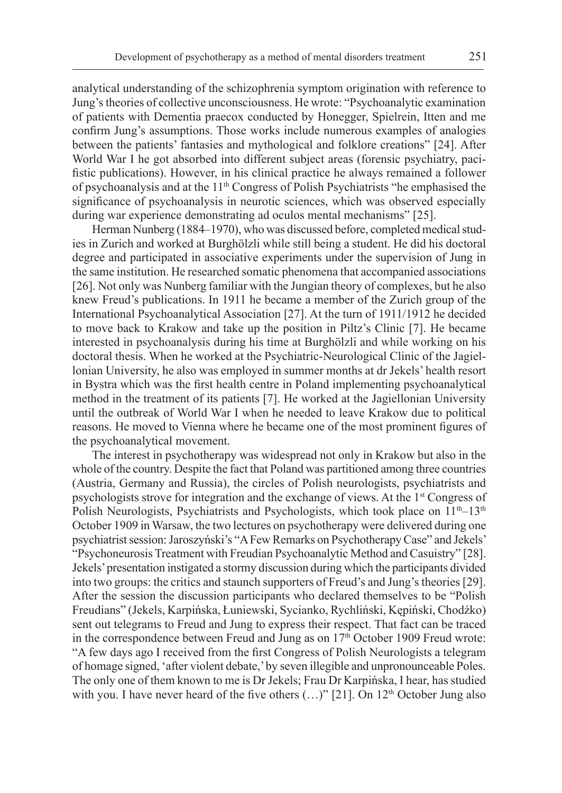analytical understanding of the schizophrenia symptom origination with reference to Jung's theories of collective unconsciousness. He wrote: "Psychoanalytic examination of patients with Dementia praecox conducted by Honegger, Spielrein, Itten and me confirm Jung's assumptions. Those works include numerous examples of analogies between the patients' fantasies and mythological and folklore creations" [24]. After World War I he got absorbed into different subject areas (forensic psychiatry, pacifistic publications). However, in his clinical practice he always remained a follower of psychoanalysis and at the 11<sup>th</sup> Congress of Polish Psychiatrists "he emphasised the significance of psychoanalysis in neurotic sciences, which was observed especially during war experience demonstrating ad oculos mental mechanisms" [25].

Herman Nunberg (1884–1970), who was discussed before, completed medical studies in Zurich and worked at Burghölzli while still being a student. He did his doctoral degree and participated in associative experiments under the supervision of Jung in the same institution. He researched somatic phenomena that accompanied associations [26]. Not only was Nunberg familiar with the Jungian theory of complexes, but he also knew Freud's publications. In 1911 he became a member of the Zurich group of the International Psychoanalytical Association [27]. At the turn of 1911/1912 he decided to move back to Krakow and take up the position in Piltz's Clinic [7]. He became interested in psychoanalysis during his time at Burghölzli and while working on his doctoral thesis. When he worked at the Psychiatric-Neurological Clinic of the Jagiellonian University, he also was employed in summer months at dr Jekels' health resort in Bystra which was the first health centre in Poland implementing psychoanalytical method in the treatment of its patients [7]. He worked at the Jagiellonian University until the outbreak of World War I when he needed to leave Krakow due to political reasons. He moved to Vienna where he became one of the most prominent figures of the psychoanalytical movement.

The interest in psychotherapy was widespread not only in Krakow but also in the whole of the country. Despite the fact that Poland was partitioned among three countries (Austria, Germany and Russia), the circles of Polish neurologists, psychiatrists and psychologists strove for integration and the exchange of views. At the 1st Congress of Polish Neurologists, Psychiatrists and Psychologists, which took place on  $11<sup>th</sup>–13<sup>th</sup>$ October 1909 in Warsaw, the two lectures on psychotherapy were delivered during one psychiatrist session: Jaroszyński's "A Few Remarks on Psychotherapy Case" and Jekels' "Psychoneurosis Treatment with Freudian Psychoanalytic Method and Casuistry" [28]. Jekels' presentation instigated a stormy discussion during which the participants divided into two groups: the critics and staunch supporters of Freud's and Jung's theories [29]. After the session the discussion participants who declared themselves to be "Polish Freudians" (Jekels, Karpińska, Łuniewski, Sycianko, Rychliński, Kępiński, Chodźko) sent out telegrams to Freud and Jung to express their respect. That fact can be traced in the correspondence between Freud and Jung as on  $17<sup>th</sup>$  October 1909 Freud wrote: "A few days ago I received from the first Congress of Polish Neurologists a telegram of homage signed, 'after violent debate,' by seven illegible and unpronounceable Poles. The only one of them known to me is Dr Jekels; Frau Dr Karpińska, I hear, has studied with you. I have never heard of the five others  $(...)$ " [21]. On 12<sup>th</sup> October Jung also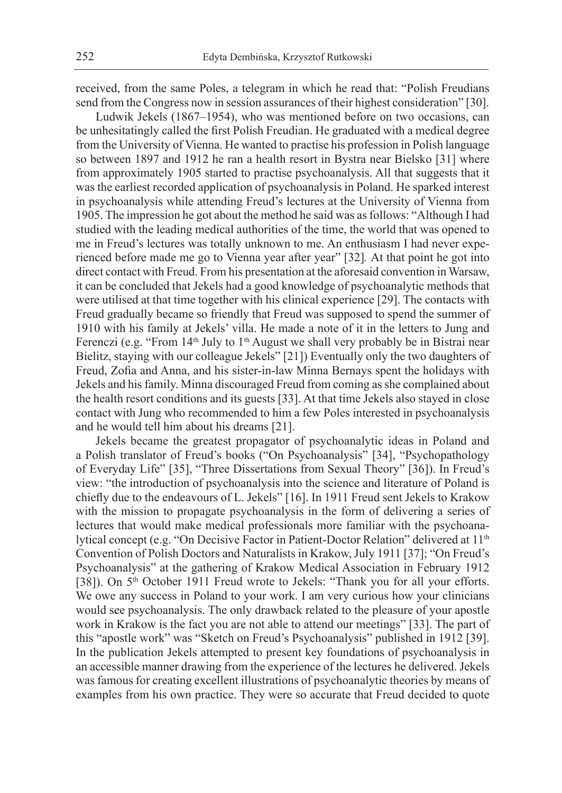received, from the same Poles, a telegram in which he read that: "Polish Freudians send from the Congress now in session assurances of their highest consideration" [30].

Ludwik Jekels (1867–1954), who was mentioned before on two occasions, can be unhesitatingly called the first Polish Freudian. He graduated with a medical degree from the University of Vienna. He wanted to practise his profession in Polish language so between 1897 and 1912 he ran a health resort in Bystra near Bielsko [31] where from approximately 1905 started to practise psychoanalysis. All that suggests that it was the earliest recorded application of psychoanalysis in Poland. He sparked interest in psychoanalysis while attending Freud's lectures at the University of Vienna from 1905. The impression he got about the method he said was as follows: "Although I had studied with the leading medical authorities of the time, the world that was opened to me in Freud's lectures was totally unknown to me. An enthusiasm I had never experienced before made me go to Vienna year after year" [32]*.* At that point he got into direct contact with Freud. From his presentation at the aforesaid convention in Warsaw, it can be concluded that Jekels had a good knowledge of psychoanalytic methods that were utilised at that time together with his clinical experience [29]. The contacts with Freud gradually became so friendly that Freud was supposed to spend the summer of 1910 with his family at Jekels' villa. He made a note of it in the letters to Jung and Ferenczi (e.g. "From  $14<sup>th</sup>$  July to  $1<sup>th</sup>$  August we shall very probably be in Bistrai near Bielitz, staying with our colleague Jekels" [21]) Eventually only the two daughters of Freud, Zofia and Anna, and his sister-in-law Minna Bernays spent the holidays with Jekels and his family. Minna discouraged Freud from coming as she complained about the health resort conditions and its guests [33]. At that time Jekels also stayed in close contact with Jung who recommended to him a few Poles interested in psychoanalysis and he would tell him about his dreams [21].

Jekels became the greatest propagator of psychoanalytic ideas in Poland and a Polish translator of Freud's books ("On Psychoanalysis" [34], "Psychopathology of Everyday Life" [35], "Three Dissertations from Sexual Theory" [36]). In Freud's view: "the introduction of psychoanalysis into the science and literature of Poland is chiefly due to the endeavours of L. Jekels" [16]. In 1911 Freud sent Jekels to Krakow with the mission to propagate psychoanalysis in the form of delivering a series of lectures that would make medical professionals more familiar with the psychoanalytical concept (e.g. "On Decisive Factor in Patient-Doctor Relation" delivered at 11th Convention of Polish Doctors and Naturalists in Krakow, July 1911 [37]; "On Freud's Psychoanalysis" at the gathering of Krakow Medical Association in February 1912 [38]). On 5<sup>th</sup> October 1911 Freud wrote to Jekels: "Thank you for all your efforts. We owe any success in Poland to your work. I am very curious how your clinicians would see psychoanalysis. The only drawback related to the pleasure of your apostle work in Krakow is the fact you are not able to attend our meetings" [33]. The part of this "apostle work" was "Sketch on Freud's Psychoanalysis" published in 1912 [39]. In the publication Jekels attempted to present key foundations of psychoanalysis in an accessible manner drawing from the experience of the lectures he delivered. Jekels was famous for creating excellent illustrations of psychoanalytic theories by means of examples from his own practice. They were so accurate that Freud decided to quote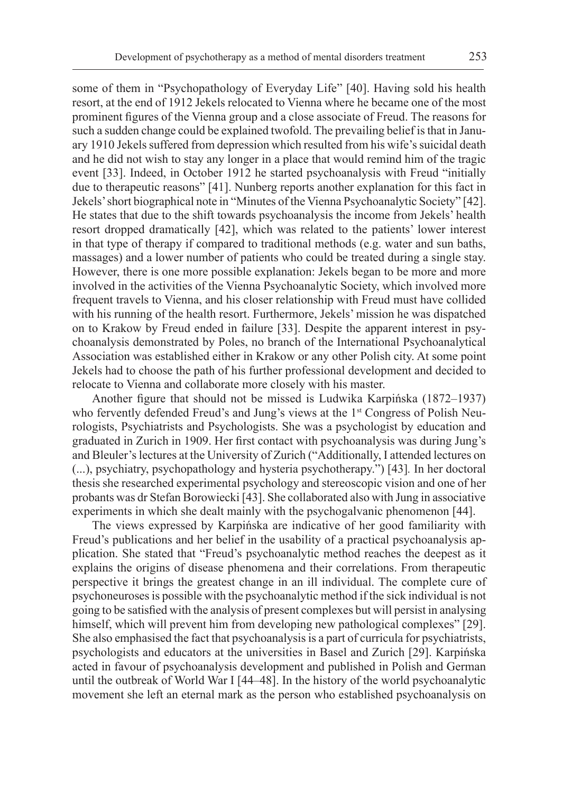some of them in "Psychopathology of Everyday Life" [40]. Having sold his health resort, at the end of 1912 Jekels relocated to Vienna where he became one of the most prominent figures of the Vienna group and a close associate of Freud. The reasons for such a sudden change could be explained twofold. The prevailing belief is that in January 1910 Jekels suffered from depression which resulted from his wife's suicidal death and he did not wish to stay any longer in a place that would remind him of the tragic event [33]. Indeed, in October 1912 he started psychoanalysis with Freud "initially due to therapeutic reasons" [41]. Nunberg reports another explanation for this fact in Jekels' short biographical note in "Minutes of the Vienna Psychoanalytic Society" [42]. He states that due to the shift towards psychoanalysis the income from Jekels' health resort dropped dramatically [42], which was related to the patients' lower interest in that type of therapy if compared to traditional methods (e.g. water and sun baths, massages) and a lower number of patients who could be treated during a single stay. However, there is one more possible explanation: Jekels began to be more and more involved in the activities of the Vienna Psychoanalytic Society, which involved more frequent travels to Vienna, and his closer relationship with Freud must have collided with his running of the health resort. Furthermore, Jekels' mission he was dispatched on to Krakow by Freud ended in failure [33]. Despite the apparent interest in psychoanalysis demonstrated by Poles, no branch of the International Psychoanalytical Association was established either in Krakow or any other Polish city. At some point Jekels had to choose the path of his further professional development and decided to relocate to Vienna and collaborate more closely with his master.

Another figure that should not be missed is Ludwika Karpińska (1872–1937) who fervently defended Freud's and Jung's views at the 1<sup>st</sup> Congress of Polish Neurologists, Psychiatrists and Psychologists. She was a psychologist by education and graduated in Zurich in 1909. Her first contact with psychoanalysis was during Jung's and Bleuler's lectures at the University of Zurich ("Additionally, I attended lectures on (...), psychiatry, psychopathology and hysteria psychotherapy.") [43]*.* In her doctoral thesis she researched experimental psychology and stereoscopic vision and one of her probants was dr Stefan Borowiecki [43]. She collaborated also with Jung in associative experiments in which she dealt mainly with the psychogalvanic phenomenon [44].

The views expressed by Karpińska are indicative of her good familiarity with Freud's publications and her belief in the usability of a practical psychoanalysis application. She stated that "Freud's psychoanalytic method reaches the deepest as it explains the origins of disease phenomena and their correlations. From therapeutic perspective it brings the greatest change in an ill individual. The complete cure of psychoneuroses is possible with the psychoanalytic method if the sick individual is not going to be satisfied with the analysis of present complexes but will persist in analysing himself, which will prevent him from developing new pathological complexes" [29]. She also emphasised the fact that psychoanalysis is a part of curricula for psychiatrists, psychologists and educators at the universities in Basel and Zurich [29]. Karpińska acted in favour of psychoanalysis development and published in Polish and German until the outbreak of World War I [44–48]. In the history of the world psychoanalytic movement she left an eternal mark as the person who established psychoanalysis on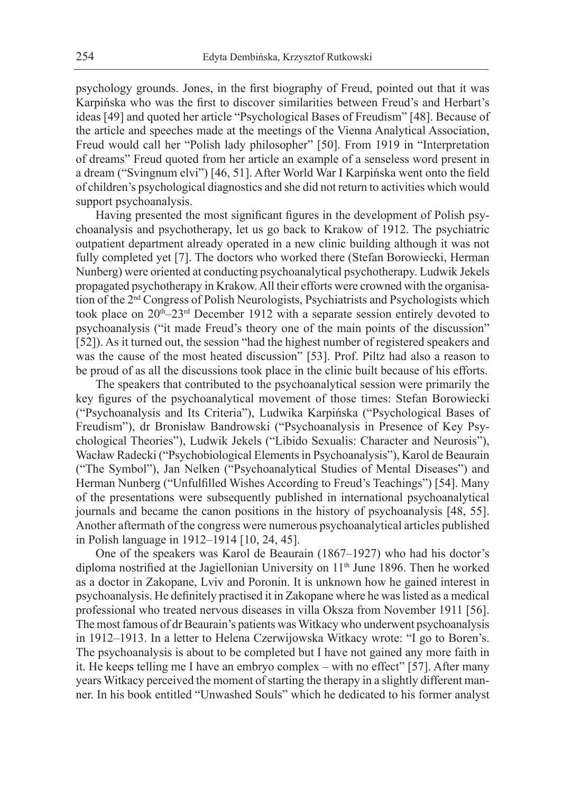psychology grounds. Jones, in the first biography of Freud, pointed out that it was Karpińska who was the first to discover similarities between Freud's and Herbart's ideas [49] and quoted her article "Psychological Bases of Freudism" [48]. Because of the article and speeches made at the meetings of the Vienna Analytical Association, Freud would call her "Polish lady philosopher" [50]. From 1919 in "Interpretation of dreams" Freud quoted from her article an example of a senseless word present in a dream ("Svingnum elvi") [46, 51]. After World War I Karpińska went onto the field of children's psychological diagnostics and she did not return to activities which would support psychoanalysis.

Having presented the most significant figures in the development of Polish psychoanalysis and psychotherapy, let us go back to Krakow of 1912. The psychiatric outpatient department already operated in a new clinic building although it was not fully completed yet [7]. The doctors who worked there (Stefan Borowiecki, Herman Nunberg) were oriented at conducting psychoanalytical psychotherapy. Ludwik Jekels propagated psychotherapy in Krakow. All their efforts were crowned with the organisation of the 2nd Congress of Polish Neurologists, Psychiatrists and Psychologists which took place on 20<sup>th</sup>–23<sup>rd</sup> December 1912 with a separate session entirely devoted to psychoanalysis ("it made Freud's theory one of the main points of the discussion" [52]). As it turned out, the session "had the highest number of registered speakers and was the cause of the most heated discussion" [53]. Prof. Piltz had also a reason to be proud of as all the discussions took place in the clinic built because of his efforts.

The speakers that contributed to the psychoanalytical session were primarily the key figures of the psychoanalytical movement of those times: Stefan Borowiecki ("Psychoanalysis and Its Criteria"), Ludwika Karpińska ("Psychological Bases of Freudism"), dr Bronisław Bandrowski ("Psychoanalysis in Presence of Key Psychological Theories"), Ludwik Jekels ("Libido Sexualis: Character and Neurosis"), Wacław Radecki ("Psychobiological Elements in Psychoanalysis"), Karol de Beaurain ("The Symbol"), Jan Nelken ("Psychoanalytical Studies of Mental Diseases") and Herman Nunberg ("Unfulfilled Wishes According to Freud's Teachings") [54]. Many of the presentations were subsequently published in international psychoanalytical journals and became the canon positions in the history of psychoanalysis [48, 55]. Another aftermath of the congress were numerous psychoanalytical articles published in Polish language in 1912–1914 [10, 24, 45].

One of the speakers was Karol de Beaurain (1867–1927) who had his doctor's diploma nostrified at the Jagiellonian University on 11<sup>th</sup> June 1896. Then he worked as a doctor in Zakopane, Lviv and Poronin. It is unknown how he gained interest in psychoanalysis. He definitely practised it in Zakopane where he was listed as a medical professional who treated nervous diseases in villa Oksza from November 1911 [56]. The most famous of dr Beaurain's patients was Witkacy who underwent psychoanalysis in 1912–1913. In a letter to Helena Czerwijowska Witkacy wrote: "I go to Boren's. The psychoanalysis is about to be completed but I have not gained any more faith in it. He keeps telling me I have an embryo complex – with no effect" [57]. After many years Witkacy perceived the moment of starting the therapy in a slightly different manner. In his book entitled "Unwashed Souls" which he dedicated to his former analyst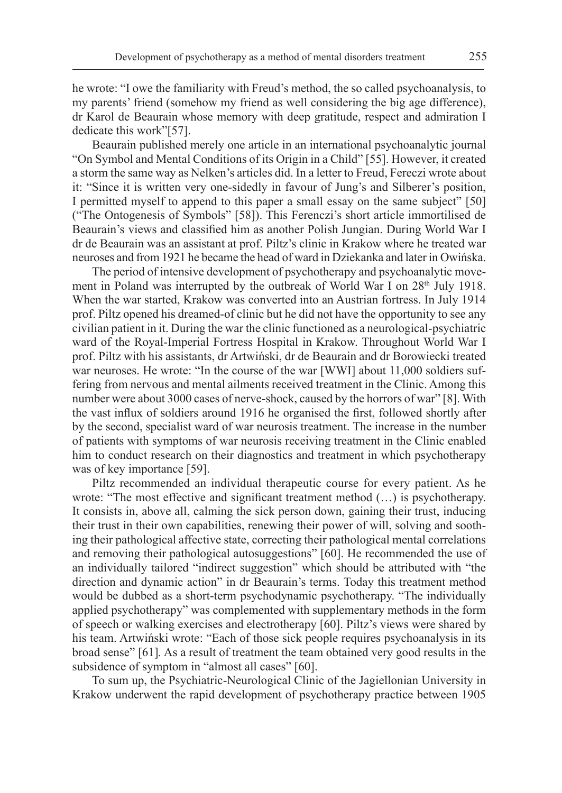he wrote: "I owe the familiarity with Freud's method, the so called psychoanalysis, to my parents' friend (somehow my friend as well considering the big age difference), dr Karol de Beaurain whose memory with deep gratitude, respect and admiration I dedicate this work"[57].

Beaurain published merely one article in an international psychoanalytic journal "On Symbol and Mental Conditions of its Origin in a Child" [55]. However, it created a storm the same way as Nelken's articles did. In a letter to Freud, Fereczi wrote about it: "Since it is written very one-sidedly in favour of Jung's and Silberer's position, I permitted myself to append to this paper a small essay on the same subject" [50] ("The Ontogenesis of Symbols" [58]). This Ferenczi's short article immortilised de Beaurain's views and classified him as another Polish Jungian. During World War I dr de Beaurain was an assistant at prof. Piltz's clinic in Krakow where he treated war neuroses and from 1921 he became the head of ward in Dziekanka and later in Owińska.

The period of intensive development of psychotherapy and psychoanalytic movement in Poland was interrupted by the outbreak of World War I on 28<sup>th</sup> July 1918. When the war started, Krakow was converted into an Austrian fortress. In July 1914 prof. Piltz opened his dreamed-of clinic but he did not have the opportunity to see any civilian patient in it. During the war the clinic functioned as a neurological-psychiatric ward of the Royal-Imperial Fortress Hospital in Krakow. Throughout World War I prof. Piltz with his assistants, dr Artwiński, dr de Beaurain and dr Borowiecki treated war neuroses. He wrote: "In the course of the war [WWI] about 11,000 soldiers suffering from nervous and mental ailments received treatment in the Clinic. Among this number were about 3000 cases of nerve-shock, caused by the horrors of war" [8]. With the vast influx of soldiers around 1916 he organised the first, followed shortly after by the second, specialist ward of war neurosis treatment. The increase in the number of patients with symptoms of war neurosis receiving treatment in the Clinic enabled him to conduct research on their diagnostics and treatment in which psychotherapy was of key importance [59].

Piltz recommended an individual therapeutic course for every patient. As he wrote: "The most effective and significant treatment method (…) is psychotherapy. It consists in, above all, calming the sick person down, gaining their trust, inducing their trust in their own capabilities, renewing their power of will, solving and soothing their pathological affective state, correcting their pathological mental correlations and removing their pathological autosuggestions" [60]. He recommended the use of an individually tailored "indirect suggestion" which should be attributed with "the direction and dynamic action" in dr Beaurain's terms. Today this treatment method would be dubbed as a short-term psychodynamic psychotherapy. "The individually applied psychotherapy" was complemented with supplementary methods in the form of speech or walking exercises and electrotherapy [60]. Piltz's views were shared by his team. Artwiński wrote: "Each of those sick people requires psychoanalysis in its broad sense" [61]*.* As a result of treatment the team obtained very good results in the subsidence of symptom in "almost all cases" [60].

To sum up, the Psychiatric-Neurological Clinic of the Jagiellonian University in Krakow underwent the rapid development of psychotherapy practice between 1905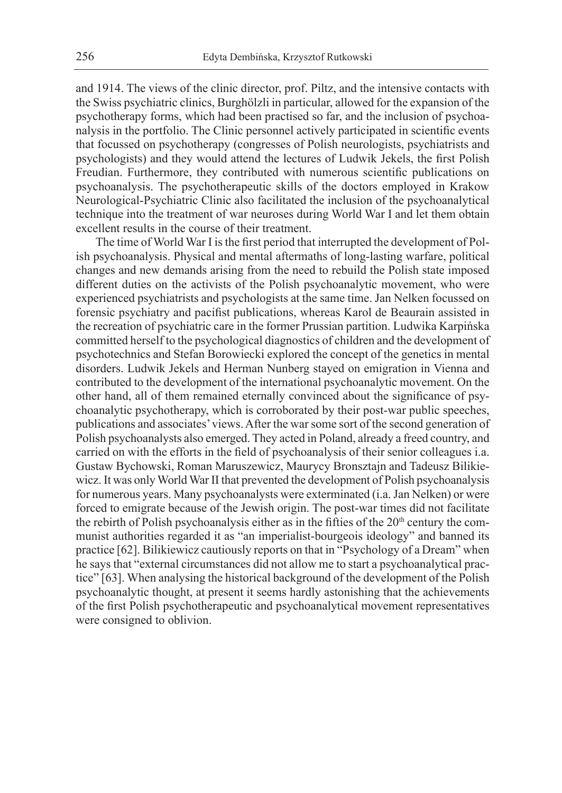and 1914. The views of the clinic director, prof. Piltz, and the intensive contacts with the Swiss psychiatric clinics, Burghölzli in particular, allowed for the expansion of the psychotherapy forms, which had been practised so far, and the inclusion of psychoanalysis in the portfolio. The Clinic personnel actively participated in scientific events that focussed on psychotherapy (congresses of Polish neurologists, psychiatrists and psychologists) and they would attend the lectures of Ludwik Jekels, the first Polish Freudian. Furthermore, they contributed with numerous scientific publications on psychoanalysis. The psychotherapeutic skills of the doctors employed in Krakow Neurological-Psychiatric Clinic also facilitated the inclusion of the psychoanalytical technique into the treatment of war neuroses during World War I and let them obtain excellent results in the course of their treatment.

The time of World War I is the first period that interrupted the development of Polish psychoanalysis. Physical and mental aftermaths of long-lasting warfare, political changes and new demands arising from the need to rebuild the Polish state imposed different duties on the activists of the Polish psychoanalytic movement, who were experienced psychiatrists and psychologists at the same time. Jan Nelken focussed on forensic psychiatry and pacifist publications, whereas Karol de Beaurain assisted in the recreation of psychiatric care in the former Prussian partition. Ludwika Karpińska committed herself to the psychological diagnostics of children and the development of psychotechnics and Stefan Borowiecki explored the concept of the genetics in mental disorders. Ludwik Jekels and Herman Nunberg stayed on emigration in Vienna and contributed to the development of the international psychoanalytic movement. On the other hand, all of them remained eternally convinced about the significance of psychoanalytic psychotherapy, which is corroborated by their post-war public speeches, publications and associates' views. After the war some sort of the second generation of Polish psychoanalysts also emerged. They acted in Poland, already a freed country, and carried on with the efforts in the field of psychoanalysis of their senior colleagues i.a. Gustaw Bychowski, Roman Maruszewicz, Maurycy Bronsztajn and Tadeusz Bilikiewicz. It was only World War II that prevented the development of Polish psychoanalysis for numerous years. Many psychoanalysts were exterminated (i.a. Jan Nelken) or were forced to emigrate because of the Jewish origin. The post-war times did not facilitate the rebirth of Polish psychoanalysis either as in the fifties of the  $20<sup>th</sup>$  century the communist authorities regarded it as "an imperialist-bourgeois ideology" and banned its practice [62]. Bilikiewicz cautiously reports on that in "Psychology of a Dream" when he says that "external circumstances did not allow me to start a psychoanalytical practice" [63]. When analysing the historical background of the development of the Polish psychoanalytic thought, at present it seems hardly astonishing that the achievements of the first Polish psychotherapeutic and psychoanalytical movement representatives were consigned to oblivion.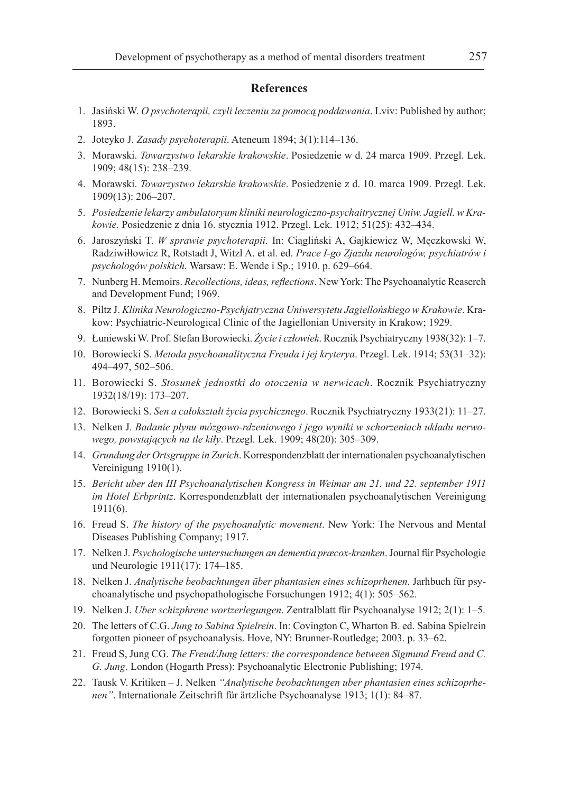## **References**

- 1. Jasiński W. *O psychoterapii, czyli leczeniu za pomocą poddawania*. Lviv: Published by author; 1893.
- 2. Joteyko J. *Zasady psychoterapii*. Ateneum 1894; 3(1):114–136.
- 3. Morawski. *Towarzystwo lekarskie krakowskie*. Posiedzenie w d. 24 marca 1909. Przegl. Lek. 1909; 48(15): 238–239.
- 4. Morawski. *Towarzystwo lekarskie krakowskie*. Posiedzenie z d. 10. marca 1909. Przegl. Lek. 1909(13): 206–207.
- 5. *Posiedzenie lekarzy ambulatoryum kliniki neurologiczno-psychaitrycznej Uniw. Jagiell. w Krakowie.* Posiedzenie z dnia 16. stycznia 1912. Przegl. Lek. 1912; 51(25): 432–434.
- 6. Jaroszyński T. *W sprawie psychoterapii.* In: Ciągliński A, Gajkiewicz W, Męczkowski W, Radziwiłłowicz R, Rotstadt J, Witzl A. et al. ed. *Prace I-go Zjazdu neurologów, psychiatrów i psychologów polskich*. Warsaw: E. Wende i Sp.; 1910. p. 629–664.
- 7. Nunberg H. Memoirs. *Recollections, ideas, reflections*. New York: The Psychoanalytic Reaserch and Development Fund; 1969.
- 8. Piltz J. *Klinika Neurologiczno-Psychjatryczna Uniwersytetu Jagiellońskiego w Krakowie*. Krakow: Psychiatric-Neurological Clinic of the Jagiellonian University in Krakow; 1929.
- 9. Łuniewski W. Prof. Stefan Borowiecki. *Życie i człowiek*. Rocznik Psychiatryczny 1938(32): 1–7.
- 10. Borowiecki S. *Metoda psychoanalityczna Freuda i jej kryterya*. Przegl. Lek. 1914; 53(31–32): 494–497, 502–506.
- 11. Borowiecki S. *Stosunek jednostki do otoczenia w nerwicach*. Rocznik Psychiatryczny 1932(18/19): 173–207.
- 12. Borowiecki S. *Sen a całokształt życia psychicznego*. Rocznik Psychiatryczny 1933(21): 11–27.
- 13. Nelken J. *Badanie płynu mózgowo-rdzeniowego i jego wyniki w schorzeniach układu nerwowego, powstających na tle kiły*. Przegl. Lek. 1909; 48(20): 305–309.
- 14. *Grundung der Ortsgruppe in Zurich*. Korrespondenzblatt der internationalen psychoanalytischen Vereinigung 1910(1).
- 15. *Bericht uber den III Psychoanalytischen Kongress in Weimar am 21. und 22. september 1911 im Hotel Erbprintz*. Korrespondenzblatt der internationalen psychoanalytischen Vereinigung 1911(6).
- 16. Freud S. *The history of the psychoanalytic movement*. New York: The Nervous and Mental Diseases Publishing Company; 1917.
- 17. Nelken J. *Psychologische untersuchungen an dementia præcox-kranken*. Journal für Psychologie und Neurologie 1911(17): 174–185.
- 18. Nelken J. *Analytische beobachtungen über phantasien eines schizoprhenen*. Jarhbuch für psychoanalytische und psychopathologische Forsuchungen 1912; 4(1): 505–562.
- 19. Nelken J. *Uber schizphrene wortzerlegungen*. Zentralblatt für Psychoanalyse 1912; 2(1): 1–5.
- 20. The letters of C.G. *Jung to Sabina Spielrein*. In: Covington C, Wharton B. ed. Sabina Spielrein forgotten pioneer of psychoanalysis. Hove, NY: Brunner-Routledge; 2003. p. 33–62.
- 21. Freud S, Jung CG. *The Freud/Jung letters: the correspondence between Sigmund Freud and C. G. Jung*. London (Hogarth Press): Psychoanalytic Electronic Publishing; 1974.
- 22. Tausk V. Kritiken J. Nelken *"Analytische beobachtungen uber phantasien eines schizoprhenen"*. Internationale Zeitschrift für ärtzliche Psychoanalyse 1913; 1(1): 84–87.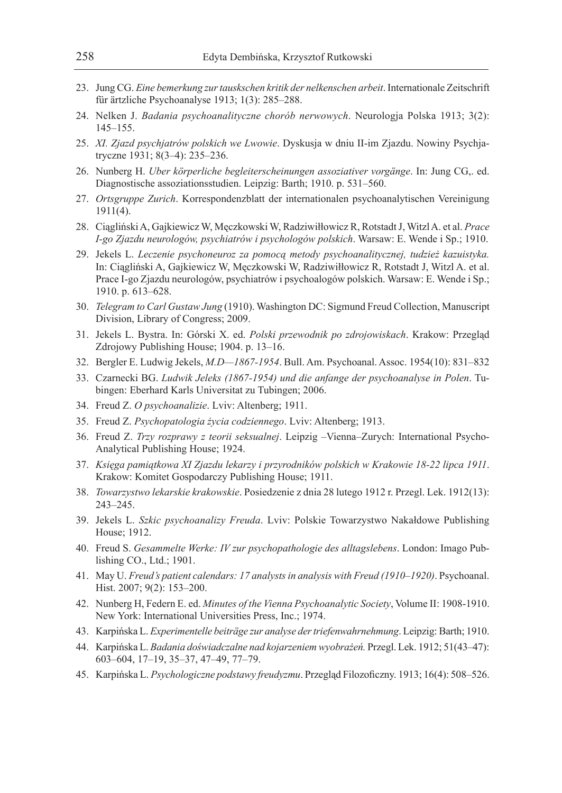- 23. Jung CG. *Eine bemerkung zur tauskschen kritik der nelkenschen arbeit*. Internationale Zeitschrift für ärtzliche Psychoanalyse 1913; 1(3): 285–288.
- 24. Nelken J. *Badania psychoanalityczne chorób nerwowych*. Neurologja Polska 1913; 3(2): 145–155.
- 25. *XI. Zjazd psychjatrów polskich we Lwowie*. Dyskusja w dniu II-im Zjazdu. Nowiny Psychjatryczne 1931; 8(3–4): 235–236.
- 26. Nunberg H. *Uber körperliche begleiterscheinungen assoziativer vorgänge*. In: Jung CG,. ed. Diagnostische assoziationsstudien. Leipzig: Barth; 1910. p. 531–560.
- 27. *Ortsgruppe Zurich*. Korrespondenzblatt der internationalen psychoanalytischen Vereinigung 1911(4).
- 28. Ciągliński A, Gajkiewicz W, Męczkowski W, Radziwiłłowicz R, Rotstadt J, Witzl A. et al. *Prace I-go Zjazdu neurologów, psychiatrów i psychologów polskich*. Warsaw: E. Wende i Sp.; 1910.
- 29. Jekels L. *Leczenie psychoneuroz za pomocą metody psychoanalitycznej, tudzież kazuistyka.*  In: Ciągliński A, Gajkiewicz W, Męczkowski W, Radziwiłłowicz R, Rotstadt J, Witzl A. et al. Prace I-go Zjazdu neurologów, psychiatrów i psychoalogów polskich. Warsaw: E. Wende i Sp.; 1910. p. 613–628.
- 30. *Telegram to Carl Gustaw Jung* (1910). Washington DC: Sigmund Freud Collection, Manuscript Division, Library of Congress; 2009.
- 31. Jekels L. Bystra. In: Górski X. ed. *Polski przewodnik po zdrojowiskach*. Krakow: Przegląd Zdrojowy Publishing House; 1904. p. 13–16.
- 32. Bergler E. Ludwig Jekels, *M.D—1867-1954*. Bull. Am. Psychoanal. Assoc. 1954(10): 831–832
- 33. Czarnecki BG. *Ludwik Jeleks (1867-1954) und die anfange der psychoanalyse in Polen*. Tubingen: Eberhard Karls Universitat zu Tubingen; 2006.
- 34. Freud Z. *O psychoanalizie*. Lviv: Altenberg; 1911.
- 35. Freud Z. *Psychopatologia życia codziennego*. Lviv: Altenberg; 1913.
- 36. Freud Z. *Trzy rozprawy z teorii seksualnej*. Leipzig –Vienna–Zurych: International Psycho-Analytical Publishing House; 1924.
- 37. *Księga pamiątkowa XI Zjazdu lekarzy i przyrodników polskich w Krakowie 18-22 lipca 1911*. Krakow: Komitet Gospodarczy Publishing House; 1911.
- 38. *Towarzystwo lekarskie krakowskie*. Posiedzenie z dnia 28 lutego 1912 r. Przegl. Lek. 1912(13): 243–245.
- 39. Jekels L. *Szkic psychoanalizy Freuda*. Lviv: Polskie Towarzystwo Nakałdowe Publishing House; 1912.
- 40. Freud S. *Gesammelte Werke: IV zur psychopathologie des alltagslebens*. London: Imago Publishing CO., Ltd.; 1901.
- 41. May U. *Freud's patient calendars: 17 analysts in analysis with Freud (1910–1920)*. Psychoanal. Hist. 2007; 9(2): 153–200.
- 42. Nunberg H, Federn E. ed. *Minutes of the Vienna Psychoanalytic Society*, Volume II: 1908-1910. New York: International Universities Press, Inc.; 1974.
- 43. Karpińska L. *Experimentelle beiträge zur analyse der triefenwahrnehmung*. Leipzig: Barth; 1910.
- 44. Karpińska L. *Badania doświadczalne nad kojarzeniem wyobrażeń.* Przegl. Lek. 1912; 51(43–47): 603–604, 17–19, 35–37, 47–49, 77–79.
- 45. Karpińska L. *Psychologiczne podstawy freudyzmu*. Przegląd Filozoficzny. 1913; 16(4): 508–526.